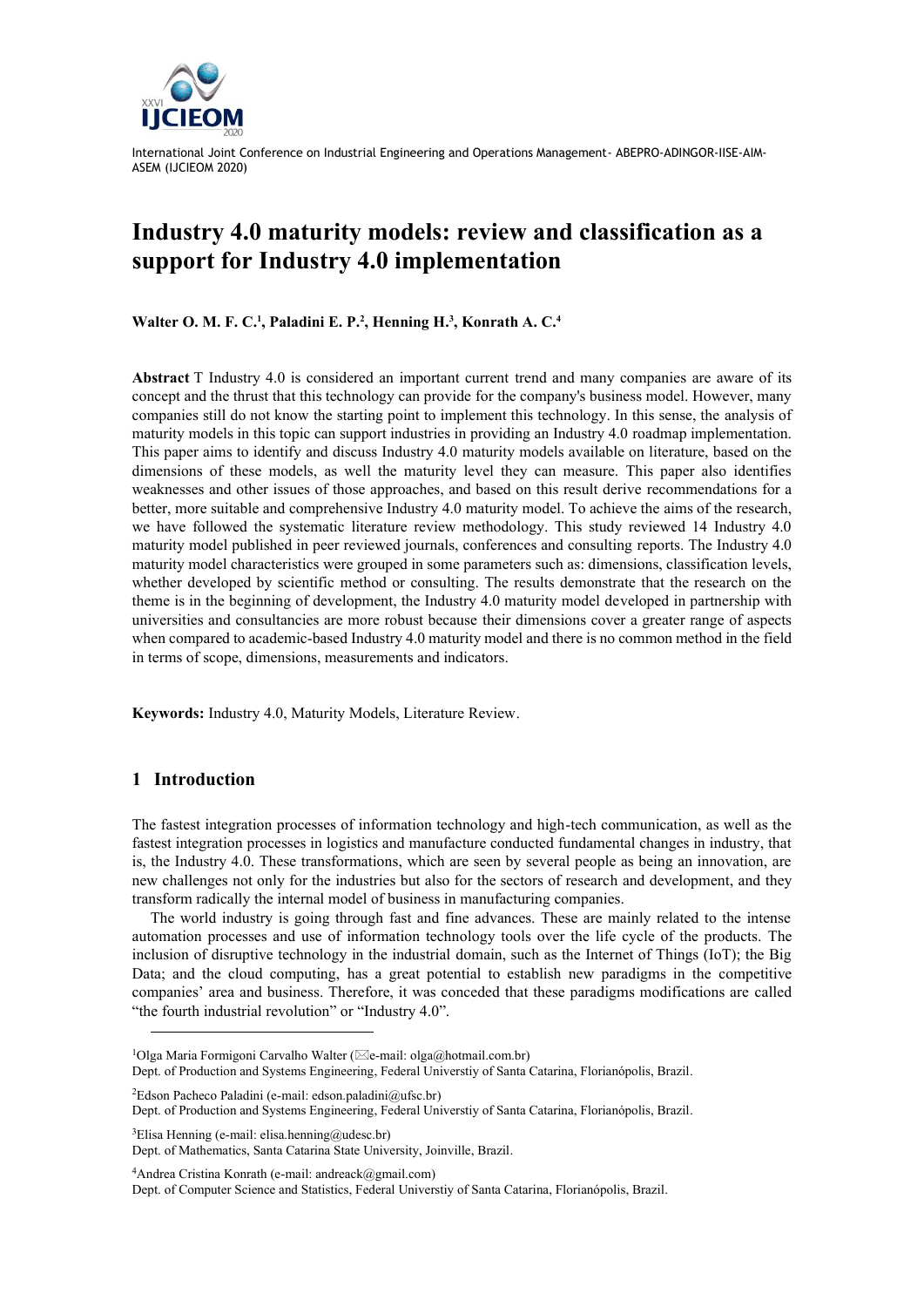

# **Industry 4.0 maturity models: review and classification as a support for Industry 4.0 implementation**

**Walter O. M. F. C. 1 , Paladini E. P. 2 , Henning H. 3 , Konrath A. C. 4**

**Abstract** T Industry 4.0 is considered an important current trend and many companies are aware of its concept and the thrust that this technology can provide for the company's business model. However, many companies still do not know the starting point to implement this technology. In this sense, the analysis of maturity models in this topic can support industries in providing an Industry 4.0 roadmap implementation. This paper aims to identify and discuss Industry 4.0 maturity models available on literature, based on the dimensions of these models, as well the maturity level they can measure. This paper also identifies weaknesses and other issues of those approaches, and based on this result derive recommendations for a better, more suitable and comprehensive Industry 4.0 maturity model. To achieve the aims of the research, we have followed the systematic literature review methodology. This study reviewed 14 Industry 4.0 maturity model published in peer reviewed journals, conferences and consulting reports. The Industry 4.0 maturity model characteristics were grouped in some parameters such as: dimensions, classification levels, whether developed by scientific method or consulting. The results demonstrate that the research on the theme is in the beginning of development, the Industry 4.0 maturity model developed in partnership with universities and consultancies are more robust because their dimensions cover a greater range of aspects when compared to academic-based Industry 4.0 maturity model and there is no common method in the field in terms of scope, dimensions, measurements and indicators.

**Keywords:** Industry 4.0, Maturity Models, Literature Review.

### **1 Introduction**

The fastest integration processes of information technology and high-tech communication, as well as the fastest integration processes in logistics and manufacture conducted fundamental changes in industry, that is, the Industry 4.0. These transformations, which are seen by several people as being an innovation, are new challenges not only for the industries but also for the sectors of research and development, and they transform radically the internal model of business in manufacturing companies.

The world industry is going through fast and fine advances. These are mainly related to the intense automation processes and use of information technology tools over the life cycle of the products. The inclusion of disruptive technology in the industrial domain, such as the Internet of Things (IoT); the Big Data; and the cloud computing, has a great potential to establish new paradigms in the competitive companies' area and business. Therefore, it was conceded that these paradigms modifications are called "the fourth industrial revolution" or "Industry 4.0".

 ${}^{2}$ Edson Pacheco Paladini (e-mail: edson.paladini@ufsc.br)

Dept. of Production and Systems Engineering, Federal Universtiy of Santa Catarina, Florianópolis, Brazil.

 ${}^{3}$ Elisa Henning (e-mail: elisa.henning@udesc.br) Dept. of Mathematics, Santa Catarina State University, Joinville, Brazil.

 $4$ Andrea Cristina Konrath (e-mail: andreack@gmail.com)

Dept. of Computer Science and Statistics, Federal Universtiy of Santa Catarina, Florianópolis, Brazil.

<sup>&</sup>lt;sup>1</sup>Olga Maria Formigoni Carvalho Walter ( $\boxtimes$ e-mail: olga@hotmail.com.br) Dept. of Production and Systems Engineering, Federal Universtiy of Santa Catarina, Florianópolis, Brazil.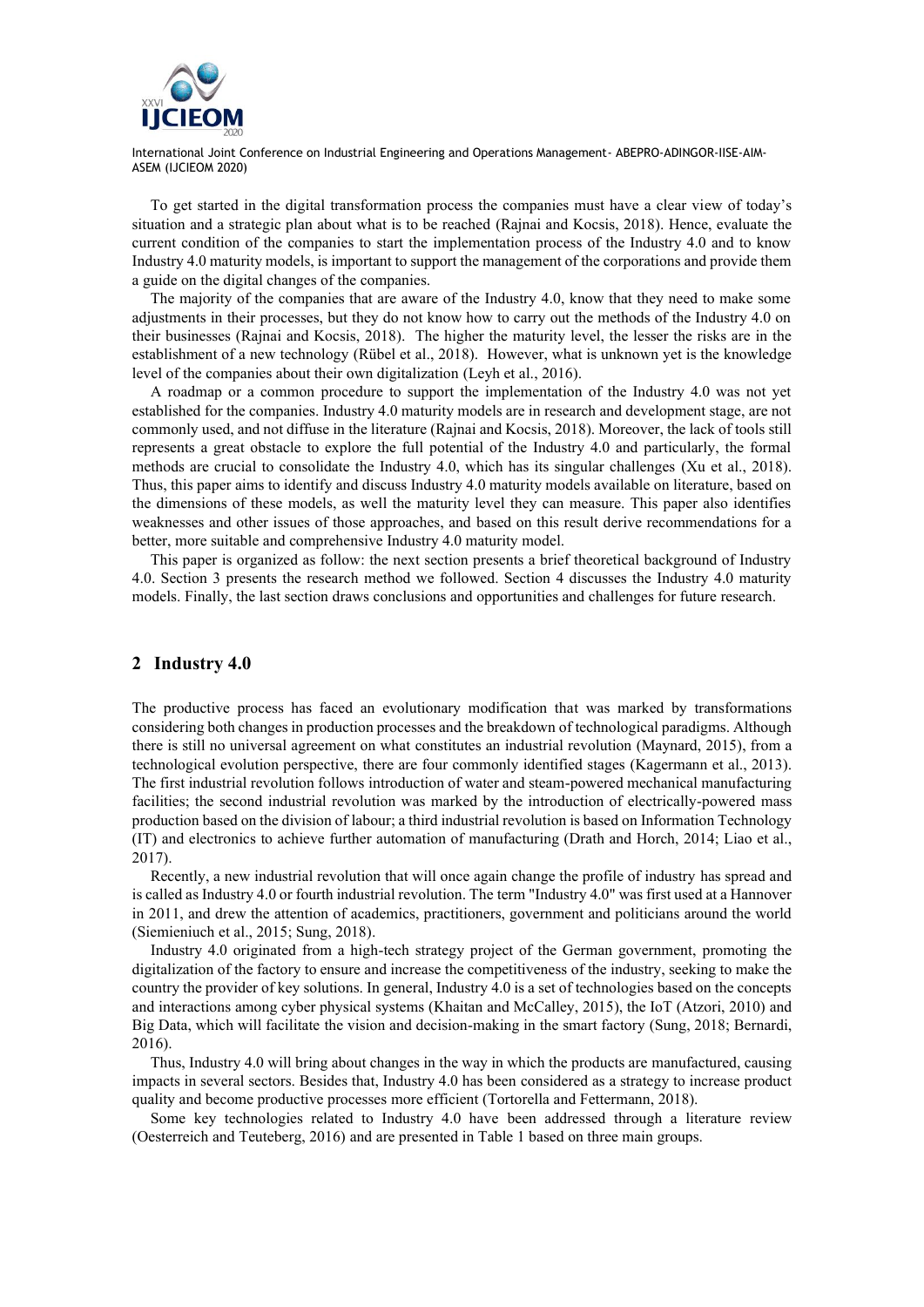

To get started in the digital transformation process the companies must have a clear view of today's situation and a strategic plan about what is to be reached (Rajnai and Kocsis, 2018). Hence, evaluate the current condition of the companies to start the implementation process of the Industry 4.0 and to know Industry 4.0 maturity models, is important to support the management of the corporations and provide them a guide on the digital changes of the companies.

The majority of the companies that are aware of the Industry 4.0, know that they need to make some adjustments in their processes, but they do not know how to carry out the methods of the Industry 4.0 on their businesses (Rajnai and Kocsis, 2018). The higher the maturity level, the lesser the risks are in the establishment of a new technology (Rübel et al., 2018). However, what is unknown yet is the knowledge level of the companies about their own digitalization (Leyh et al., 2016).

A roadmap or a common procedure to support the implementation of the Industry 4.0 was not yet established for the companies. Industry 4.0 maturity models are in research and development stage, are not commonly used, and not diffuse in the literature (Rajnai and Kocsis, 2018). Moreover, the lack of tools still represents a great obstacle to explore the full potential of the Industry 4.0 and particularly, the formal methods are crucial to consolidate the Industry 4.0, which has its singular challenges (Xu et al., 2018). Thus, this paper aims to identify and discuss Industry 4.0 maturity models available on literature, based on the dimensions of these models, as well the maturity level they can measure. This paper also identifies weaknesses and other issues of those approaches, and based on this result derive recommendations for a better, more suitable and comprehensive Industry 4.0 maturity model.

This paper is organized as follow: the next section presents a brief theoretical background of Industry 4.0. Section 3 presents the research method we followed. Section 4 discusses the Industry 4.0 maturity models. Finally, the last section draws conclusions and opportunities and challenges for future research.

#### **2 Industry 4.0**

The productive process has faced an evolutionary modification that was marked by transformations considering both changes in production processes and the breakdown of technological paradigms. Although there is still no universal agreement on what constitutes an industrial revolution (Maynard, 2015), from a technological evolution perspective, there are four commonly identified stages (Kagermann et al., 2013). The first industrial revolution follows introduction of water and steam-powered mechanical manufacturing facilities; the second industrial revolution was marked by the introduction of electrically-powered mass production based on the division of labour; a third industrial revolution is based on Information Technology (IT) and electronics to achieve further automation of manufacturing (Drath and Horch, 2014; Liao et al., 2017).

Recently, a new industrial revolution that will once again change the profile of industry has spread and is called as Industry 4.0 or fourth industrial revolution. The term "Industry 4.0" was first used at a Hannover in 2011, and drew the attention of academics, practitioners, government and politicians around the world (Siemieniuch et al., 2015; Sung, 2018).

Industry 4.0 originated from a high-tech strategy project of the German government, promoting the digitalization of the factory to ensure and increase the competitiveness of the industry, seeking to make the country the provider of key solutions. In general, Industry 4.0 is a set of technologies based on the concepts and interactions among cyber physical systems (Khaitan and McCalley, 2015), the IoT (Atzori, 2010) and Big Data, which will facilitate the vision and decision-making in the smart factory (Sung, 2018; Bernardi, 2016).

Thus, Industry 4.0 will bring about changes in the way in which the products are manufactured, causing impacts in several sectors. Besides that, Industry 4.0 has been considered as a strategy to increase product quality and become productive processes more efficient (Tortorella and Fettermann, 2018).

Some key technologies related to Industry 4.0 have been addressed through a literature review (Oesterreich and Teuteberg, 2016) and are presented in Table 1 based on three main groups.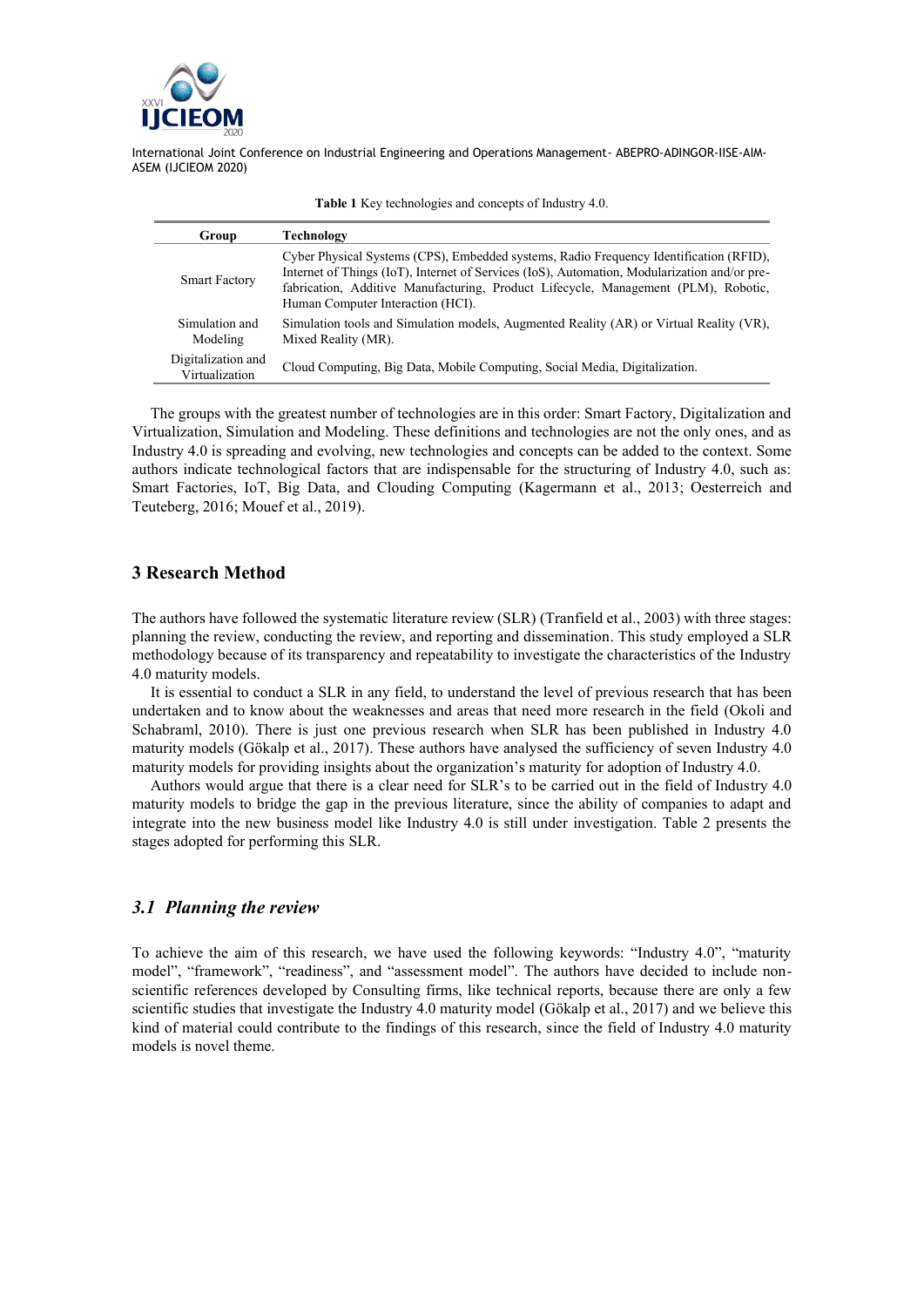

| Group                                | Technology                                                                                                                                                                                                                                                                                                        |
|--------------------------------------|-------------------------------------------------------------------------------------------------------------------------------------------------------------------------------------------------------------------------------------------------------------------------------------------------------------------|
| <b>Smart Factory</b>                 | Cyber Physical Systems (CPS), Embedded systems, Radio Frequency Identification (RFID),<br>Internet of Things (IoT), Internet of Services (IoS), Automation, Modularization and/or pre-<br>fabrication, Additive Manufacturing, Product Lifecycle, Management (PLM), Robotic,<br>Human Computer Interaction (HCI). |
| Simulation and<br>Modeling           | Simulation tools and Simulation models, Augmented Reality (AR) or Virtual Reality (VR),<br>Mixed Reality (MR).                                                                                                                                                                                                    |
| Digitalization and<br>Virtualization | Cloud Computing, Big Data, Mobile Computing, Social Media, Digitalization.                                                                                                                                                                                                                                        |

**Table 1** Key technologies and concepts of Industry 4.0.

The groups with the greatest number of technologies are in this order: Smart Factory, Digitalization and Virtualization, Simulation and Modeling. These definitions and technologies are not the only ones, and as Industry 4.0 is spreading and evolving, new technologies and concepts can be added to the context. Some authors indicate technological factors that are indispensable for the structuring of Industry 4.0, such as: Smart Factories, IoT, Big Data, and Clouding Computing (Kagermann et al., 2013; Oesterreich and Teuteberg, 2016; Mouef et al., 2019).

# **3 Research Method**

The authors have followed the systematic literature review (SLR) (Tranfield et al., 2003) with three stages: planning the review, conducting the review, and reporting and dissemination. This study employed a SLR methodology because of its transparency and repeatability to investigate the characteristics of the Industry 4.0 maturity models.

It is essential to conduct a SLR in any field, to understand the level of previous research that has been undertaken and to know about the weaknesses and areas that need more research in the field (Okoli and Schabraml, 2010). There is just one previous research when SLR has been published in Industry 4.0 maturity models (Gökalp et al., 2017). These authors have analysed the sufficiency of seven Industry 4.0 maturity models for providing insights about the organization's maturity for adoption of Industry 4.0.

Authors would argue that there is a clear need for SLR's to be carried out in the field of Industry 4.0 maturity models to bridge the gap in the previous literature, since the ability of companies to adapt and integrate into the new business model like Industry 4.0 is still under investigation. Table 2 presents the stages adopted for performing this SLR.

# *3.1 Planning the review*

To achieve the aim of this research, we have used the following keywords: "Industry 4.0", "maturity model", "framework", "readiness", and "assessment model". The authors have decided to include nonscientific references developed by Consulting firms, like technical reports, because there are only a few scientific studies that investigate the Industry 4.0 maturity model (Gökalp et al., 2017) and we believe this kind of material could contribute to the findings of this research, since the field of Industry 4.0 maturity models is novel theme.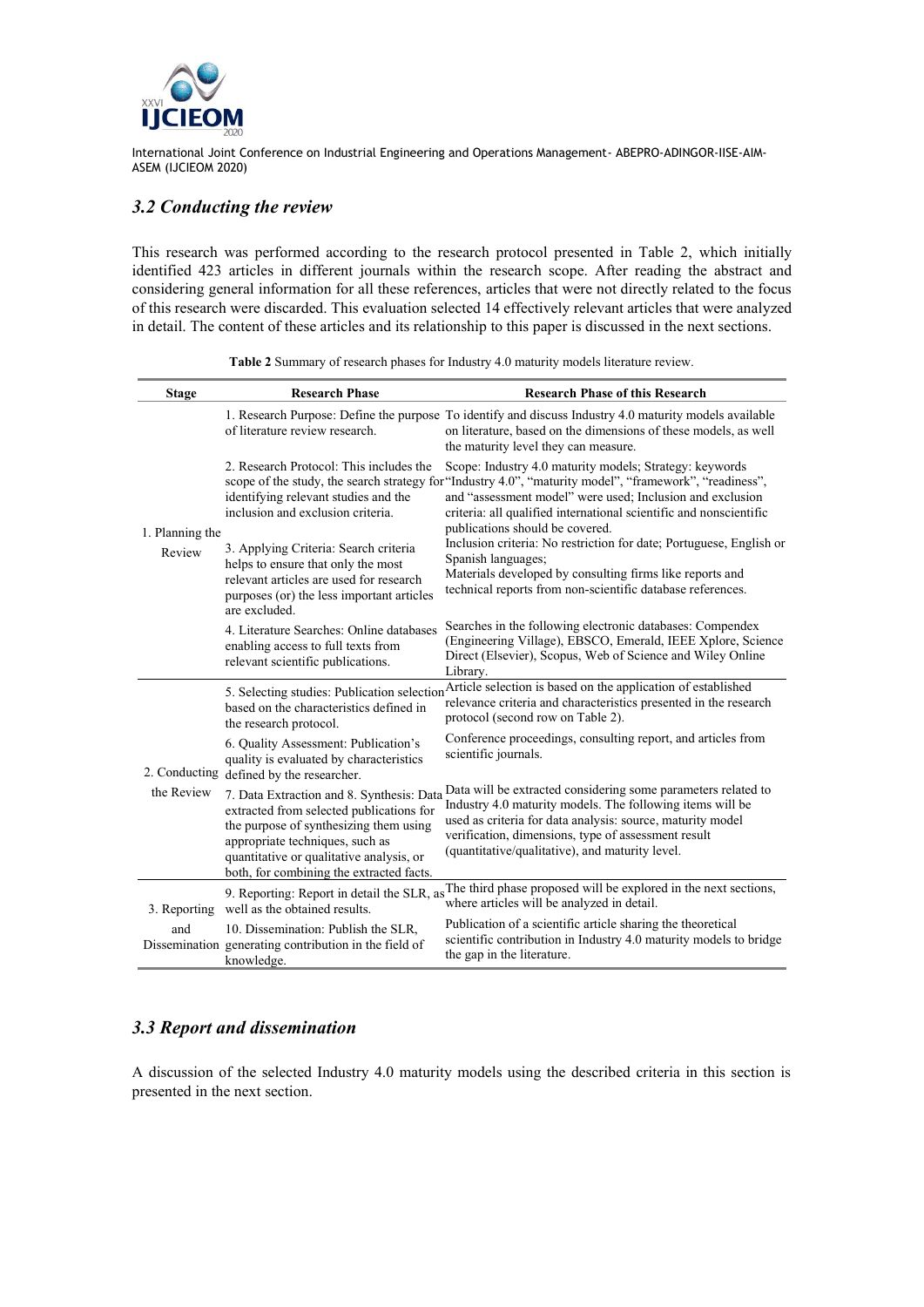

# *3.2 Conducting the review*

This research was performed according to the research protocol presented in Table 2, which initially identified 423 articles in different journals within the research scope. After reading the abstract and considering general information for all these references, articles that were not directly related to the focus of this research were discarded. This evaluation selected 14 effectively relevant articles that were analyzed in detail. The content of these articles and its relationship to this paper is discussed in the next sections.

| <b>Stage</b>              | <b>Research Phase</b>                                                                                                                                                                                                                                                                                        | <b>Research Phase of this Research</b>                                                                                                                                                                                                                                                                                                                                                                                                                                                                                                                          |  |  |  |  |
|---------------------------|--------------------------------------------------------------------------------------------------------------------------------------------------------------------------------------------------------------------------------------------------------------------------------------------------------------|-----------------------------------------------------------------------------------------------------------------------------------------------------------------------------------------------------------------------------------------------------------------------------------------------------------------------------------------------------------------------------------------------------------------------------------------------------------------------------------------------------------------------------------------------------------------|--|--|--|--|
| 1. Planning the<br>Review | of literature review research.                                                                                                                                                                                                                                                                               | 1. Research Purpose: Define the purpose To identify and discuss Industry 4.0 maturity models available<br>on literature, based on the dimensions of these models, as well<br>the maturity level they can measure.                                                                                                                                                                                                                                                                                                                                               |  |  |  |  |
|                           | 2. Research Protocol: This includes the<br>identifying relevant studies and the<br>inclusion and exclusion criteria.<br>3. Applying Criteria: Search criteria<br>helps to ensure that only the most<br>relevant articles are used for research<br>purposes (or) the less important articles<br>are excluded. | Scope: Industry 4.0 maturity models; Strategy: keywords<br>scope of the study, the search strategy for "Industry 4.0", "maturity model", "framework", "readiness",<br>and "assessment model" were used; Inclusion and exclusion<br>criteria: all qualified international scientific and nonscientific<br>publications should be covered.<br>Inclusion criteria: No restriction for date; Portuguese, English or<br>Spanish languages;<br>Materials developed by consulting firms like reports and<br>technical reports from non-scientific database references. |  |  |  |  |
|                           | 4. Literature Searches: Online databases<br>enabling access to full texts from<br>relevant scientific publications.                                                                                                                                                                                          | Searches in the following electronic databases: Compendex<br>(Engineering Village), EBSCO, Emerald, IEEE Xplore, Science<br>Direct (Elsevier), Scopus, Web of Science and Wiley Online<br>Library.                                                                                                                                                                                                                                                                                                                                                              |  |  |  |  |
| the Review                | based on the characteristics defined in<br>the research protocol.                                                                                                                                                                                                                                            | 5. Selecting studies: Publication selection Article selection is based on the application of established<br>relevance criteria and characteristics presented in the research<br>protocol (second row on Table 2).                                                                                                                                                                                                                                                                                                                                               |  |  |  |  |
|                           | 6. Quality Assessment: Publication's<br>quality is evaluated by characteristics<br>2. Conducting defined by the researcher.                                                                                                                                                                                  | Conference proceedings, consulting report, and articles from<br>scientific journals.                                                                                                                                                                                                                                                                                                                                                                                                                                                                            |  |  |  |  |
|                           | 7. Data Extraction and 8. Synthesis: Data<br>extracted from selected publications for<br>the purpose of synthesizing them using<br>appropriate techniques, such as<br>quantitative or qualitative analysis, or<br>both, for combining the extracted facts.                                                   | Data will be extracted considering some parameters related to<br>Industry 4.0 maturity models. The following items will be<br>used as criteria for data analysis: source, maturity model<br>verification, dimensions, type of assessment result<br>(quantitative/qualitative), and maturity level.                                                                                                                                                                                                                                                              |  |  |  |  |
| 3. Reporting              | well as the obtained results.                                                                                                                                                                                                                                                                                | 9. Reporting: Report in detail the SLR, as The third phase proposed will be explored in the next sections,<br>where articles will be analyzed in detail.                                                                                                                                                                                                                                                                                                                                                                                                        |  |  |  |  |
| and                       | 10. Dissemination: Publish the SLR,<br>Dissemination generating contribution in the field of<br>knowledge.                                                                                                                                                                                                   | Publication of a scientific article sharing the theoretical<br>scientific contribution in Industry 4.0 maturity models to bridge<br>the gap in the literature.                                                                                                                                                                                                                                                                                                                                                                                                  |  |  |  |  |

**Table 2** Summary of research phases for Industry 4.0 maturity models literature review.

# *3.3 Report and dissemination*

A discussion of the selected Industry 4.0 maturity models using the described criteria in this section is presented in the next section.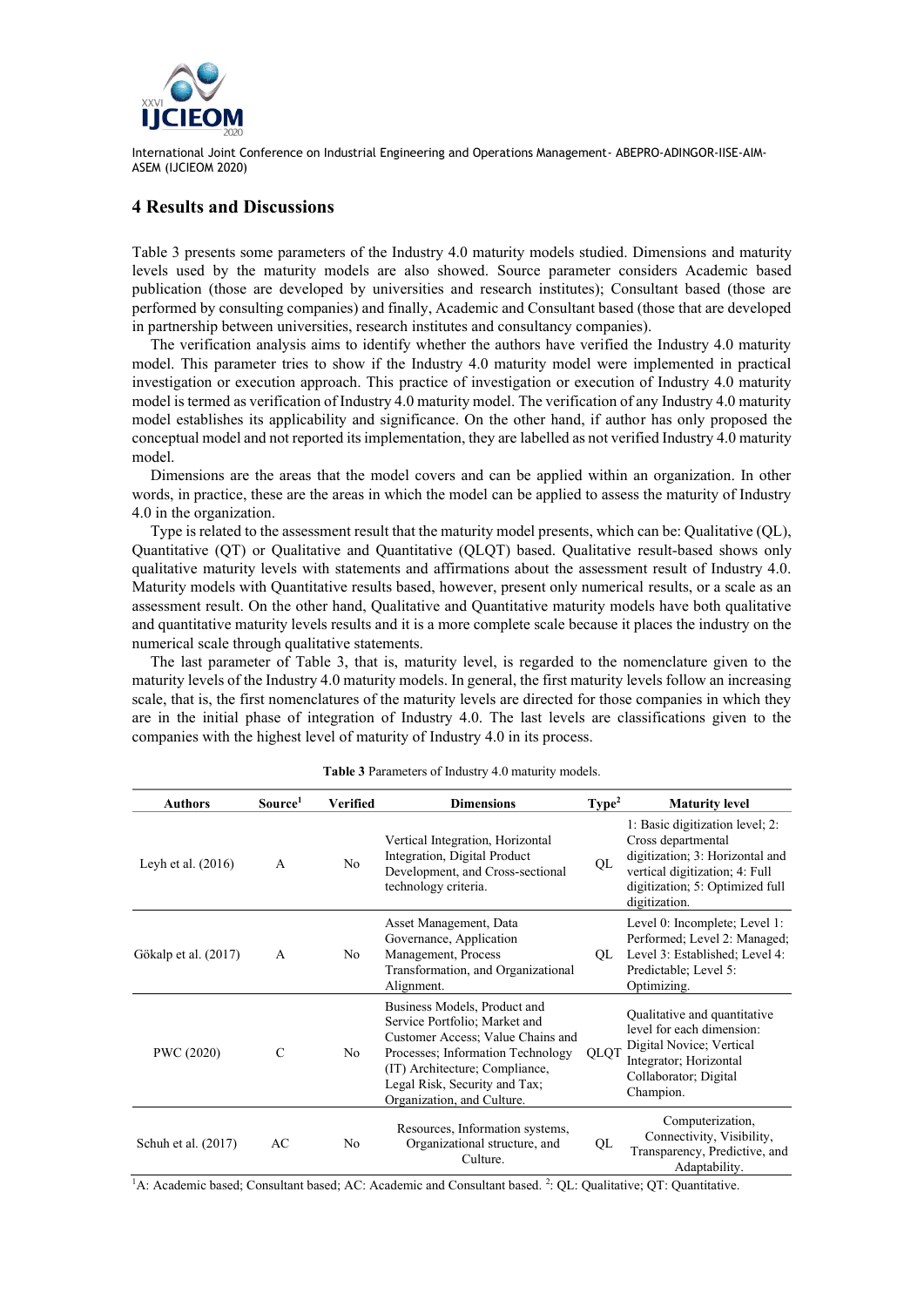

### **4 Results and Discussions**

Table 3 presents some parameters of the Industry 4.0 maturity models studied. Dimensions and maturity levels used by the maturity models are also showed. Source parameter considers Academic based publication (those are developed by universities and research institutes); Consultant based (those are performed by consulting companies) and finally, Academic and Consultant based (those that are developed in partnership between universities, research institutes and consultancy companies).

The verification analysis aims to identify whether the authors have verified the Industry 4.0 maturity model. This parameter tries to show if the Industry 4.0 maturity model were implemented in practical investigation or execution approach. This practice of investigation or execution of Industry 4.0 maturity model is termed as verification of Industry 4.0 maturity model. The verification of any Industry 4.0 maturity model establishes its applicability and significance. On the other hand, if author has only proposed the conceptual model and not reported its implementation, they are labelled as not verified Industry 4.0 maturity model.

Dimensions are the areas that the model covers and can be applied within an organization. In other words, in practice, these are the areas in which the model can be applied to assess the maturity of Industry 4.0 in the organization.

Type is related to the assessment result that the maturity model presents, which can be: Qualitative (QL), Quantitative (QT) or Qualitative and Quantitative (QLQT) based. Qualitative result-based shows only qualitative maturity levels with statements and affirmations about the assessment result of Industry 4.0. Maturity models with Quantitative results based, however, present only numerical results, or a scale as an assessment result. On the other hand, Qualitative and Quantitative maturity models have both qualitative and quantitative maturity levels results and it is a more complete scale because it places the industry on the numerical scale through qualitative statements.

The last parameter of Table 3, that is, maturity level, is regarded to the nomenclature given to the maturity levels of the Industry 4.0 maturity models. In general, the first maturity levels follow an increasing scale, that is, the first nomenclatures of the maturity levels are directed for those companies in which they are in the initial phase of integration of Industry 4.0. The last levels are classifications given to the companies with the highest level of maturity of Industry 4.0 in its process.

| <b>Authors</b>       | Source <sup>1</sup> | Verified       | <b>Dimensions</b>                                                                                                                                                                                                                        | Type <sup>2</sup> | <b>Maturity level</b>                                                                                                                                                          |
|----------------------|---------------------|----------------|------------------------------------------------------------------------------------------------------------------------------------------------------------------------------------------------------------------------------------------|-------------------|--------------------------------------------------------------------------------------------------------------------------------------------------------------------------------|
| Leyh et al. $(2016)$ | $\mathsf{A}$        | N <sub>o</sub> | Vertical Integration, Horizontal<br>Integration, Digital Product<br>Development, and Cross-sectional<br>technology criteria.                                                                                                             | QL                | 1: Basic digitization level; 2:<br>Cross departmental<br>digitization; 3: Horizontal and<br>vertical digitization; 4: Full<br>digitization; 5: Optimized full<br>digitization. |
| Gökalp et al. (2017) | $\mathsf{A}$        | No.            | Asset Management, Data<br>Governance, Application<br>Management, Process<br>Transformation, and Organizational<br>Alignment.                                                                                                             | QL                | Level 0: Incomplete; Level 1:<br>Performed; Level 2: Managed;<br>Level 3: Established; Level 4:<br>Predictable; Level 5:<br>Optimizing.                                        |
| PWC (2020)           | $\mathcal{C}$       | No             | Business Models, Product and<br>Service Portfolio; Market and<br>Customer Access; Value Chains and<br>Processes; Information Technology<br>(IT) Architecture; Compliance,<br>Legal Risk, Security and Tax;<br>Organization, and Culture. | <b>QLQT</b>       | Qualitative and quantitative<br>level for each dimension:<br>Digital Novice; Vertical<br>Integrator; Horizontal<br>Collaborator; Digital<br>Champion.                          |
| Schuh et al. (2017)  | AC                  | No             | Resources, Information systems,<br>Organizational structure, and<br>Culture.                                                                                                                                                             | QL                | Computerization,<br>Connectivity, Visibility,<br>Transparency, Predictive, and<br>Adaptability.                                                                                |

**Table 3** Parameters of Industry 4.0 maturity models.

<sup>1</sup>A: Academic based; Consultant based; AC: Academic and Consultant based. <sup>2</sup>: QL: Qualitative; QT: Quantitative.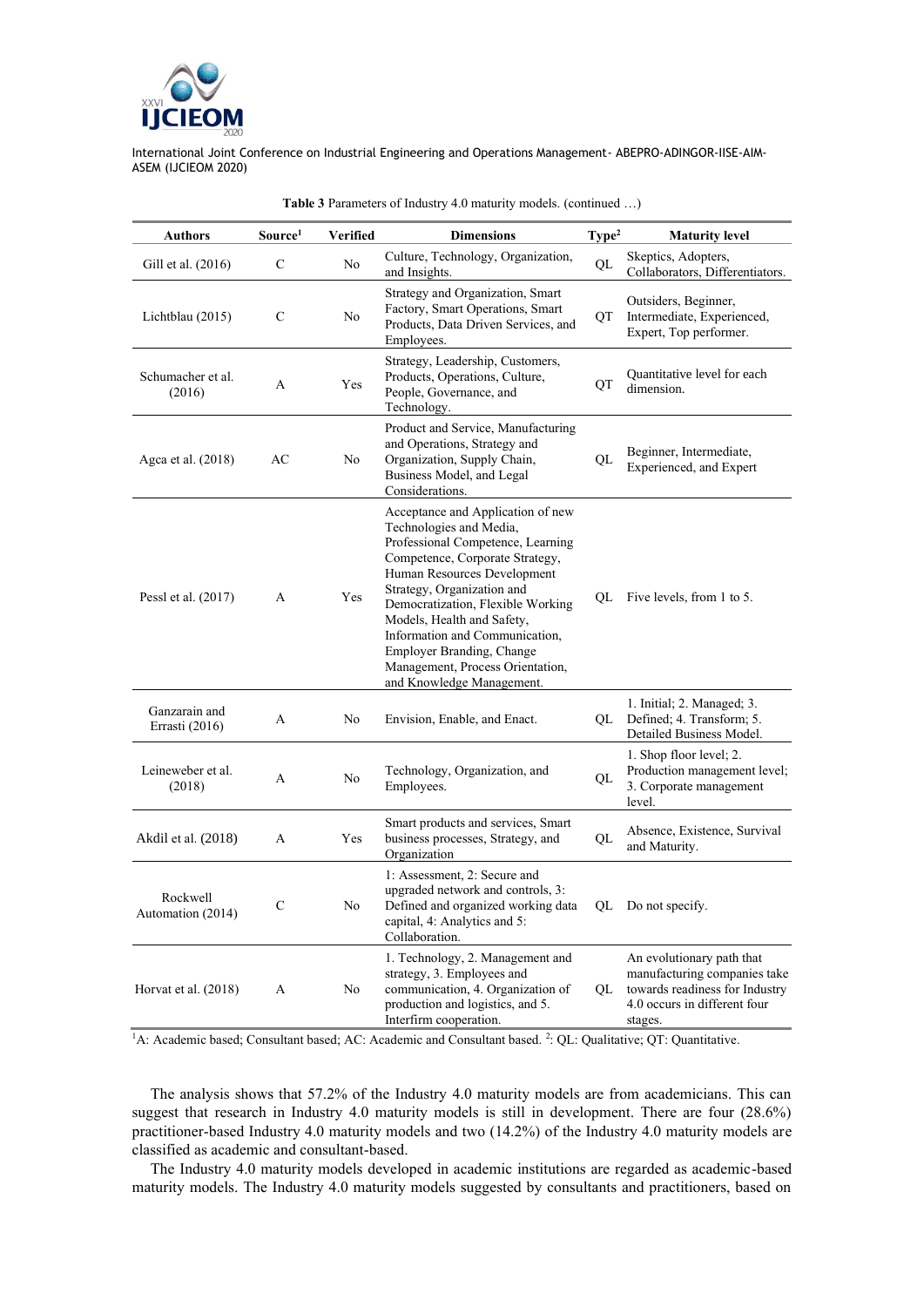

| <b>Authors</b>                  | Source <sup>1</sup> | Verified       | <b>Dimensions</b>                                                                                                                                                                                                                                                                                                                                                                                    | Type <sup>2</sup> | <b>Maturity level</b>                                                                                                                  |
|---------------------------------|---------------------|----------------|------------------------------------------------------------------------------------------------------------------------------------------------------------------------------------------------------------------------------------------------------------------------------------------------------------------------------------------------------------------------------------------------------|-------------------|----------------------------------------------------------------------------------------------------------------------------------------|
| Gill et al. (2016)              | $\mathbf C$         | N <sub>o</sub> | Culture, Technology, Organization,<br>and Insights.                                                                                                                                                                                                                                                                                                                                                  | QL                | Skeptics, Adopters,<br>Collaborators, Differentiators.                                                                                 |
| Lichtblau (2015)                | C                   | No             | Strategy and Organization, Smart<br>Factory, Smart Operations, Smart<br>Products, Data Driven Services, and<br>Employees.                                                                                                                                                                                                                                                                            | QT                | Outsiders, Beginner,<br>Intermediate, Experienced,<br>Expert, Top performer.                                                           |
| Schumacher et al.<br>(2016)     | A                   | Yes            | Strategy, Leadership, Customers,<br>Products, Operations, Culture,<br>People, Governance, and<br>Technology.                                                                                                                                                                                                                                                                                         | QT                | Quantitative level for each<br>dimension.                                                                                              |
| Agca et al. (2018)              | AC                  | No             | Product and Service, Manufacturing<br>and Operations, Strategy and<br>Organization, Supply Chain,<br>Business Model, and Legal<br>Considerations.                                                                                                                                                                                                                                                    | OL                | Beginner, Intermediate,<br>Experienced, and Expert                                                                                     |
| Pessl et al. (2017)             | A                   | Yes            | Acceptance and Application of new<br>Technologies and Media,<br>Professional Competence, Learning<br>Competence, Corporate Strategy,<br>Human Resources Development<br>Strategy, Organization and<br>Democratization, Flexible Working<br>Models, Health and Safety,<br>Information and Communication,<br>Employer Branding, Change<br>Management, Process Orientation,<br>and Knowledge Management. | OL                | Five levels, from 1 to 5.                                                                                                              |
| Ganzarain and<br>Errasti (2016) | A                   | No             | Envision, Enable, and Enact.                                                                                                                                                                                                                                                                                                                                                                         | QL                | 1. Initial; 2. Managed; 3.<br>Defined; 4. Transform; 5.<br>Detailed Business Model.                                                    |
| Leineweber et al.<br>(2018)     | A                   | No             | Technology, Organization, and<br>Employees.                                                                                                                                                                                                                                                                                                                                                          | QL                | 1. Shop floor level; 2.<br>Production management level;<br>3. Corporate management<br>level.                                           |
| Akdil et al. (2018)             | A                   | Yes            | Smart products and services, Smart<br>business processes, Strategy, and<br>Organization                                                                                                                                                                                                                                                                                                              | QL                | Absence, Existence, Survival<br>and Maturity.                                                                                          |
| Rockwell<br>Automation (2014)   | C                   | No             | 1: Assessment, 2: Secure and<br>upgraded network and controls, 3:<br>Defined and organized working data<br>capital, 4: Analytics and 5:<br>Collaboration.                                                                                                                                                                                                                                            | QL                | Do not specify.                                                                                                                        |
| Horvat et al. (2018)            | A                   | No             | 1. Technology, 2. Management and<br>strategy, 3. Employees and<br>communication, 4. Organization of<br>production and logistics, and 5.<br>Interfirm cooperation.                                                                                                                                                                                                                                    | QL                | An evolutionary path that<br>manufacturing companies take<br>towards readiness for Industry<br>4.0 occurs in different four<br>stages. |

#### **Table 3** Parameters of Industry 4.0 maturity models. (continued …)

<sup>1</sup>A: Academic based; Consultant based; AC: Academic and Consultant based. <sup>2</sup>: QL: Qualitative; QT: Quantitative.

The analysis shows that 57.2% of the Industry 4.0 maturity models are from academicians. This can suggest that research in Industry 4.0 maturity models is still in development. There are four (28.6%) practitioner-based Industry 4.0 maturity models and two (14.2%) of the Industry 4.0 maturity models are classified as academic and consultant-based.

The Industry 4.0 maturity models developed in academic institutions are regarded as academic-based maturity models. The Industry 4.0 maturity models suggested by consultants and practitioners, based on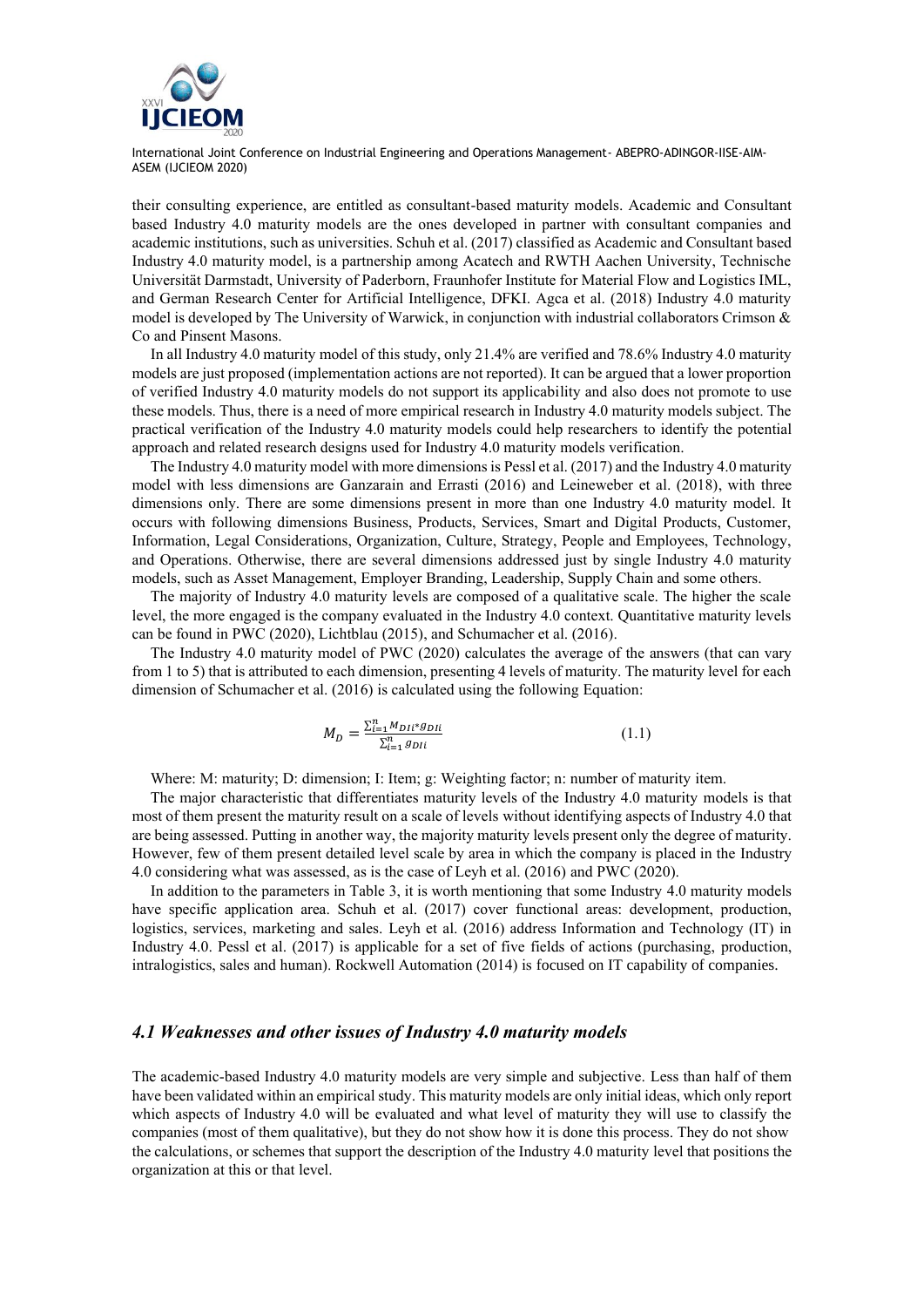

their consulting experience, are entitled as consultant-based maturity models. Academic and Consultant based Industry 4.0 maturity models are the ones developed in partner with consultant companies and academic institutions, such as universities. Schuh et al. (2017) classified as Academic and Consultant based Industry 4.0 maturity model, is a partnership among Acatech and RWTH Aachen University, Technische Universität Darmstadt, University of Paderborn, Fraunhofer Institute for Material Flow and Logistics IML, and German Research Center for Artificial Intelligence, DFKI. Agca et al. (2018) Industry 4.0 maturity model is developed by The University of Warwick, in conjunction with industrial collaborators Crimson & Co and Pinsent Masons.

In all Industry 4.0 maturity model of this study, only 21.4% are verified and 78.6% Industry 4.0 maturity models are just proposed (implementation actions are not reported). It can be argued that a lower proportion of verified Industry 4.0 maturity models do not support its applicability and also does not promote to use these models. Thus, there is a need of more empirical research in Industry 4.0 maturity models subject. The practical verification of the Industry 4.0 maturity models could help researchers to identify the potential approach and related research designs used for Industry 4.0 maturity models verification.

The Industry 4.0 maturity model with more dimensions is Pessl et al. (2017) and the Industry 4.0 maturity model with less dimensions are Ganzarain and Errasti (2016) and Leineweber et al. (2018), with three dimensions only. There are some dimensions present in more than one Industry 4.0 maturity model. It occurs with following dimensions Business, Products, Services, Smart and Digital Products, Customer, Information, Legal Considerations, Organization, Culture, Strategy, People and Employees, Technology, and Operations. Otherwise, there are several dimensions addressed just by single Industry 4.0 maturity models, such as Asset Management, Employer Branding, Leadership, Supply Chain and some others.

The majority of Industry 4.0 maturity levels are composed of a qualitative scale. The higher the scale level, the more engaged is the company evaluated in the Industry 4.0 context. Quantitative maturity levels can be found in PWC (2020), Lichtblau (2015), and Schumacher et al. (2016).

The Industry 4.0 maturity model of PWC (2020) calculates the average of the answers (that can vary from 1 to 5) that is attributed to each dimension, presenting 4 levels of maturity. The maturity level for each dimension of Schumacher et al. (2016) is calculated using the following Equation:

$$
M_{D} = \frac{\sum_{i=1}^{n} M_{D1i} * g_{D1i}}{\sum_{i=1}^{n} g_{D1i}} \tag{1.1}
$$

Where: M: maturity; D: dimension; I: Item; g: Weighting factor; n: number of maturity item.

The major characteristic that differentiates maturity levels of the Industry 4.0 maturity models is that most of them present the maturity result on a scale of levels without identifying aspects of Industry 4.0 that are being assessed. Putting in another way, the majority maturity levels present only the degree of maturity. However, few of them present detailed level scale by area in which the company is placed in the Industry 4.0 considering what was assessed, as is the case of Leyh et al. (2016) and PWC (2020).

In addition to the parameters in Table 3, it is worth mentioning that some Industry 4.0 maturity models have specific application area. Schuh et al. (2017) cover functional areas: development, production, logistics, services, marketing and sales. Leyh et al. (2016) address Information and Technology (IT) in Industry 4.0. Pessl et al. (2017) is applicable for a set of five fields of actions (purchasing, production, intralogistics, sales and human). Rockwell Automation (2014) is focused on IT capability of companies.

#### *4.1 Weaknesses and other issues of Industry 4.0 maturity models*

The academic-based Industry 4.0 maturity models are very simple and subjective. Less than half of them have been validated within an empirical study. This maturity models are only initial ideas, which only report which aspects of Industry 4.0 will be evaluated and what level of maturity they will use to classify the companies (most of them qualitative), but they do not show how it is done this process. They do not show the calculations, or schemes that support the description of the Industry 4.0 maturity level that positions the organization at this or that level.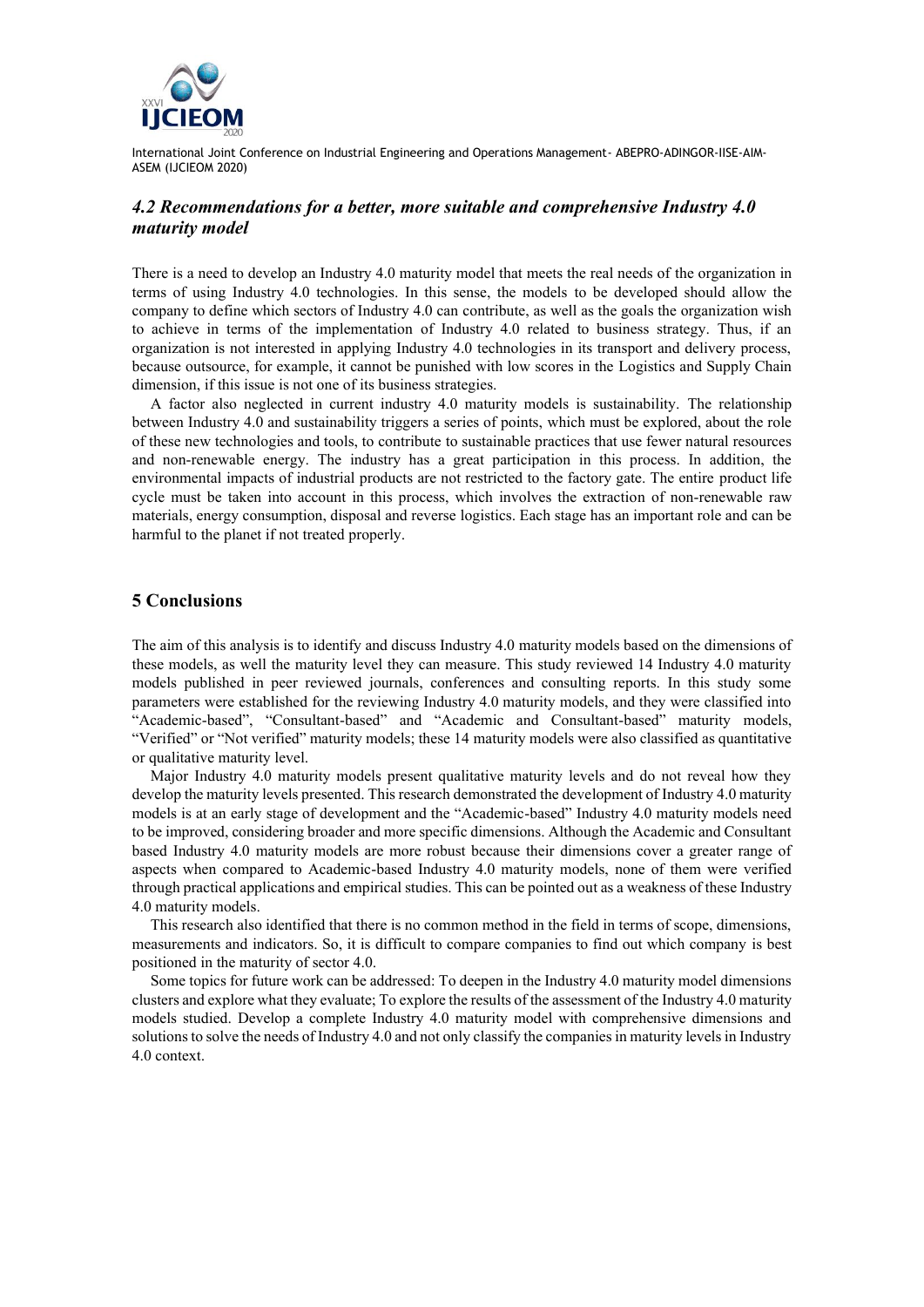

## *4.2 Recommendations for a better, more suitable and comprehensive Industry 4.0 maturity model*

There is a need to develop an Industry 4.0 maturity model that meets the real needs of the organization in terms of using Industry 4.0 technologies. In this sense, the models to be developed should allow the company to define which sectors of Industry 4.0 can contribute, as well as the goals the organization wish to achieve in terms of the implementation of Industry 4.0 related to business strategy. Thus, if an organization is not interested in applying Industry 4.0 technologies in its transport and delivery process, because outsource, for example, it cannot be punished with low scores in the Logistics and Supply Chain dimension, if this issue is not one of its business strategies.

A factor also neglected in current industry 4.0 maturity models is sustainability. The relationship between Industry 4.0 and sustainability triggers a series of points, which must be explored, about the role of these new technologies and tools, to contribute to sustainable practices that use fewer natural resources and non-renewable energy. The industry has a great participation in this process. In addition, the environmental impacts of industrial products are not restricted to the factory gate. The entire product life cycle must be taken into account in this process, which involves the extraction of non-renewable raw materials, energy consumption, disposal and reverse logistics. Each stage has an important role and can be harmful to the planet if not treated properly.

### **5 Conclusions**

The aim of this analysis is to identify and discuss Industry 4.0 maturity models based on the dimensions of these models, as well the maturity level they can measure. This study reviewed 14 Industry 4.0 maturity models published in peer reviewed journals, conferences and consulting reports. In this study some parameters were established for the reviewing Industry 4.0 maturity models, and they were classified into "Academic-based", "Consultant-based" and "Academic and Consultant-based" maturity models, "Verified" or "Not verified" maturity models; these 14 maturity models were also classified as quantitative or qualitative maturity level.

Major Industry 4.0 maturity models present qualitative maturity levels and do not reveal how they develop the maturity levels presented. This research demonstrated the development of Industry 4.0 maturity models is at an early stage of development and the "Academic-based" Industry 4.0 maturity models need to be improved, considering broader and more specific dimensions. Although the Academic and Consultant based Industry 4.0 maturity models are more robust because their dimensions cover a greater range of aspects when compared to Academic-based Industry 4.0 maturity models, none of them were verified through practical applications and empirical studies. This can be pointed out as a weakness of these Industry 4.0 maturity models.

This research also identified that there is no common method in the field in terms of scope, dimensions, measurements and indicators. So, it is difficult to compare companies to find out which company is best positioned in the maturity of sector 4.0.

Some topics for future work can be addressed: To deepen in the Industry 4.0 maturity model dimensions clusters and explore what they evaluate; To explore the results of the assessment of the Industry 4.0 maturity models studied. Develop a complete Industry 4.0 maturity model with comprehensive dimensions and solutions to solve the needs of Industry 4.0 and not only classify the companies in maturity levels in Industry 4.0 context.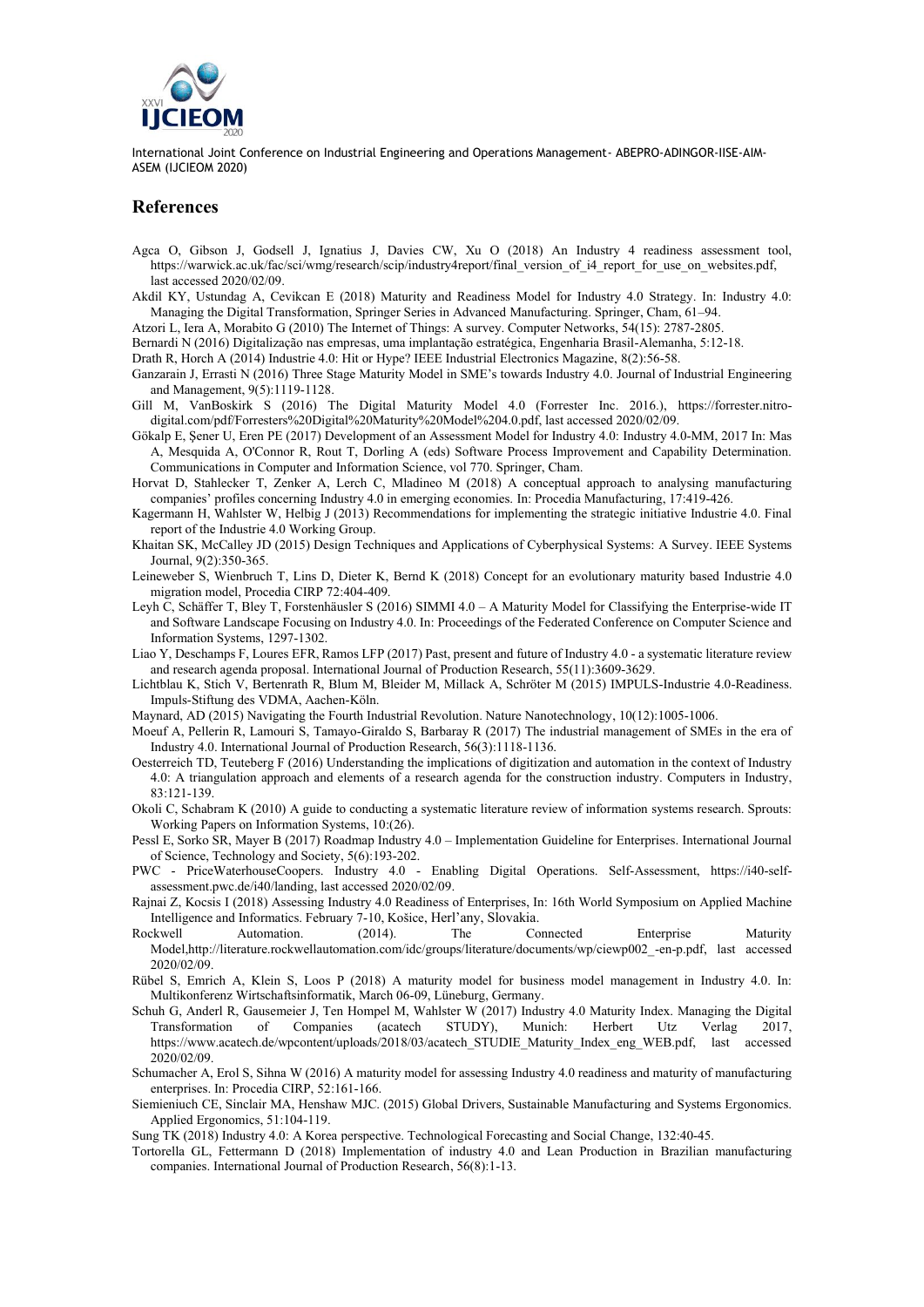

#### **References**

- Agca O, Gibson J, Godsell J, Ignatius J, Davies CW, Xu O (2018) An Industry 4 readiness assessment tool, https://warwick.ac.uk/fac/sci/wmg/research/scip/industry4report/final\_version\_of\_i4\_report\_for\_use\_on\_websites.pdf, last accessed 2020/02/09.
- Akdil KY, Ustundag A, Cevikcan E (2018) Maturity and Readiness Model for Industry 4.0 Strategy. In: Industry 4.0: Managing the Digital Transformation, Springer Series in Advanced Manufacturing. Springer, Cham, 61–94.
- Atzori L, Iera A, Morabito G (2010) The Internet of Things: A survey. Computer Networks, 54(15): 2787-2805.
- Bernardi N (2016) Digitalização nas empresas, uma implantação estratégica, Engenharia Brasil-Alemanha, 5:12-18.

Drath R, Horch A (2014) Industrie 4.0: Hit or Hype? IEEE Industrial Electronics Magazine, 8(2):56-58.

- Ganzarain J, Errasti N (2016) Three Stage Maturity Model in SME's towards Industry 4.0. Journal of Industrial Engineering and Management, 9(5):1119-1128.
- Gill M, VanBoskirk S (2016) The Digital Maturity Model 4.0 (Forrester Inc. 2016.), https://forrester.nitrodigital.com/pdf/Forresters%20Digital%20Maturity%20Model%204.0.pdf, last accessed 2020/02/09.
- Gökalp E, Şener U, Eren PE (2017) Development of an Assessment Model for Industry 4.0: Industry 4.0-MM, 2017 In: Mas A, Mesquida A, O'Connor R, Rout T, Dorling A (eds) Software Process Improvement and Capability Determination. Communications in Computer and Information Science, vol 770. Springer, Cham.
- Horvat D, Stahlecker T, Zenker A, Lerch C, Mladineo M (2018) A conceptual approach to analysing manufacturing companies' profiles concerning Industry 4.0 in emerging economies. In: Procedia Manufacturing, 17:419-426.
- Kagermann H, Wahlster W, Helbig J (2013) Recommendations for implementing the strategic initiative Industrie 4.0. Final report of the Industrie 4.0 Working Group.
- Khaitan SK, McCalley JD (2015) Design Techniques and Applications of Cyberphysical Systems: A Survey. IEEE Systems Journal, 9(2):350-365.
- Leineweber S, Wienbruch T, Lins D, Dieter K, Bernd K (2018) Concept for an evolutionary maturity based Industrie 4.0 migration model, Procedia CIRP 72:404-409.
- Leyh C, Schäffer T, Bley T, Forstenhäusler S (2016) SIMMI 4.0 A Maturity Model for Classifying the Enterprise-wide IT and Software Landscape Focusing on Industry 4.0. In: Proceedings of the Federated Conference on Computer Science and Information Systems, 1297-1302.
- Liao Y, Deschamps F, Loures EFR, Ramos LFP (2017) Past, present and future of Industry 4.0 a systematic literature review and research agenda proposal. International Journal of Production Research, 55(11):3609-3629.
- Lichtblau K, Stich V, Bertenrath R, Blum M, Bleider M, Millack A, Schröter M (2015) IMPULS-Industrie 4.0-Readiness. Impuls-Stiftung des VDMA, Aachen-Köln.
- Maynard, AD (2015) Navigating the Fourth Industrial Revolution. Nature Nanotechnology, 10(12):1005-1006.
- Moeuf A, Pellerin R, Lamouri S, Tamayo-Giraldo S, Barbaray R (2017) The industrial management of SMEs in the era of Industry 4.0. International Journal of Production Research, 56(3):1118-1136.
- Oesterreich TD, Teuteberg F (2016) Understanding the implications of digitization and automation in the context of Industry 4.0: A triangulation approach and elements of a research agenda for the construction industry. Computers in Industry, 83:121-139.
- Okoli C, Schabram K (2010) A guide to conducting a systematic literature review of information systems research. Sprouts: Working Papers on Information Systems, 10:(26).
- Pessl E, Sorko SR, Mayer B (2017) Roadmap Industry 4.0 Implementation Guideline for Enterprises. International Journal of Science, Technology and Society, 5(6):193-202.
- PWC PriceWaterhouseCoopers. Industry 4.0 Enabling Digital Operations. Self-Assessment, https://i40-selfassessment.pwc.de/i40/landing, last accessed 2020/02/09.
- Rajnai Z, Kocsis I (2018) Assessing Industry 4.0 Readiness of Enterprises, In: 16th World Symposium on Applied Machine Intelligence and Informatics. February 7-10, Košice, Herl'any, Slovakia.
- Rockwell Automation. (2014). The Connected Enterprise Maturity Model,http://literature.rockwellautomation.com/idc/groups/literature/documents/wp/ciewp002\_-en-p.pdf, last accessed 2020/02/09.
- Rübel S, Emrich A, Klein S, Loos P (2018) A maturity model for business model management in Industry 4.0. In: Multikonferenz Wirtschaftsinformatik, March 06-09, Lüneburg, Germany.
- Schuh G, Anderl R, Gausemeier J, Ten Hompel M, Wahlster W (2017) Industry 4.0 Maturity Index. Managing the Digital Transformation of Companies (acatech STUDY), Munich: Herbert Utz Verlag 2017, https://www.acatech.de/wpcontent/uploads/2018/03/acatech\_STUDIE\_Maturity\_Index\_eng\_WEB.pdf, last accessed 2020/02/09.
- Schumacher A, Erol S, Sihna W (2016) A maturity model for assessing Industry 4.0 readiness and maturity of manufacturing enterprises. In: Procedia CIRP, 52:161-166.
- Siemieniuch CE, Sinclair MA, Henshaw MJC. (2015) Global Drivers, Sustainable Manufacturing and Systems Ergonomics. Applied Ergonomics, 51:104-119.

Sung TK (2018) Industry 4.0: A Korea perspective. Technological Forecasting and Social Change, 132:40-45.

Tortorella GL, Fettermann D (2018) Implementation of industry 4.0 and Lean Production in Brazilian manufacturing companies. International Journal of Production Research, 56(8):1-13.